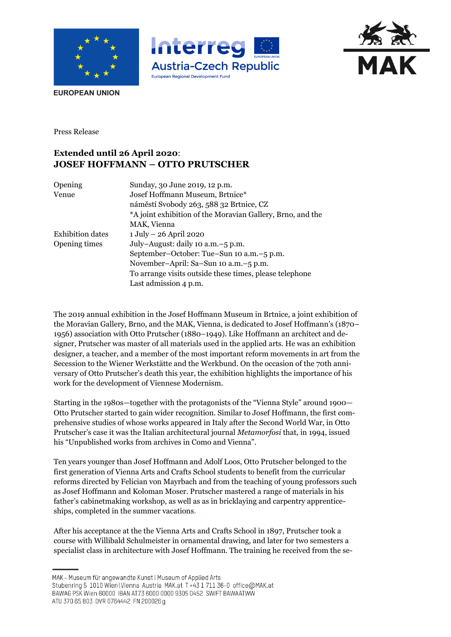





**EUROPEAN UNION** 

Press Release

## **Extended until 26 April 2020**: **JOSEF HOFFMANN – OTTO PRUTSCHER**

| Opening                 | Sunday, 30 June 2019, 12 p.m.                              |
|-------------------------|------------------------------------------------------------|
| Venue                   | Josef Hoffmann Museum, Brtnice*                            |
|                         | náměstí Svobody 263, 588 32 Brtnice, CZ                    |
|                         | *A joint exhibition of the Moravian Gallery, Brno, and the |
|                         | MAK, Vienna                                                |
| <b>Exhibition dates</b> | 1 July - 26 April 2020                                     |
| Opening times           | July-August: daily 10 a.m. -5 p.m.                         |
|                         | September-October: Tue-Sun 10 a.m.-5 p.m.                  |
|                         | November-April: Sa-Sun 10 a.m. -5 p.m.                     |
|                         | To arrange visits outside these times, please telephone    |
|                         | Last admission 4 p.m.                                      |

The 2019 annual exhibition in the Josef Hoffmann Museum in Brtnice, a joint exhibition of the Moravian Gallery, Brno, and the MAK, Vienna, is dedicated to Josef Hoffmann's (1870– 1956) association with Otto Prutscher (1880–1949). Like Hoffmann an architect and designer, Prutscher was master of all materials used in the applied arts. He was an exhibition designer, a teacher, and a member of the most important reform movements in art from the Secession to the Wiener Werkstätte and the Werkbund. On the occasion of the 70th anniversary of Otto Prutscher's death this year, the exhibition highlights the importance of his work for the development of Viennese Modernism.

Starting in the 1980s—together with the protagonists of the "Vienna Style" around 1900— Otto Prutscher started to gain wider recognition. Similar to Josef Hoffmann, the first comprehensive studies of whose works appeared in Italy after the Second World War, in Otto Prutscher's case it was the Italian architectural journal *Metamorfosi* that, in 1994, issued his "Unpublished works from archives in Como and Vienna".

Ten years younger than Josef Hoffmann and Adolf Loos, Otto Prutscher belonged to the first generation of Vienna Arts and Crafts School students to benefit from the curricular reforms directed by Felician von Mayrbach and from the teaching of young professors such as Josef Hoffmann and Koloman Moser. Prutscher mastered a range of materials in his father's cabinetmaking workshop, as well as as in bricklaying and carpentry apprenticeships, completed in the summer vacations.

After his acceptance at the the Vienna Arts and Crafts School in 1897, Prutscher took a course with Willibald Schulmeister in ornamental drawing, and later for two semesters a specialist class in architecture with Josef Hoffmann. The training he received from the se-

MAK - Museum für angewandte Kunst | Museum of Applied Arts

ATU 370 65 803 DVR 0764442 FN 200026 g

Stubenring 5 1010 Wien | Vienna Austria MAK.at T+43 1 711 36-0 office@MAK.at

BAWAG PSK Wien 60000 IBAN AT73 6000 0000 9305 0452 SWIFT BAWAATWW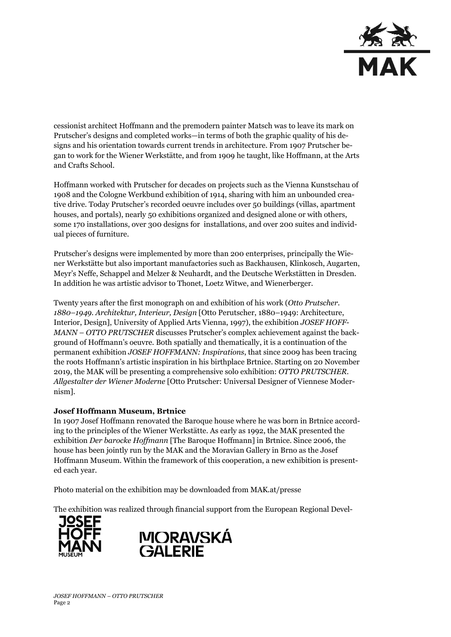

cessionist architect Hoffmann and the premodern painter Matsch was to leave its mark on Prutscher's designs and completed works—in terms of both the graphic quality of his designs and his orientation towards current trends in architecture. From 1907 Prutscher began to work for the Wiener Werkstätte, and from 1909 he taught, like Hoffmann, at the Arts and Crafts School.

Hoffmann worked with Prutscher for decades on projects such as the Vienna Kunstschau of 1908 and the Cologne Werkbund exhibition of 1914, sharing with him an unbounded creative drive. Today Prutscher's recorded oeuvre includes over 50 buildings (villas, apartment houses, and portals), nearly 50 exhibitions organized and designed alone or with others, some 170 installations, over 300 designs for installations, and over 200 suites and individual pieces of furniture.

Prutscher's designs were implemented by more than 200 enterprises, principally the Wiener Werkstätte but also important manufactories such as Backhausen, Klinkosch, Augarten, Meyr's Neffe, Schappel and Melzer & Neuhardt, and the Deutsche Werkstätten in Dresden. In addition he was artistic advisor to Thonet, Loetz Witwe, and Wienerberger.

Twenty years after the first monograph on and exhibition of his work (*Otto Prutscher. 1880–1949. Architektur, Interieur, Design* [Otto Perutscher, 1880–1949: Architecture, Interior, Design], University of Applied Arts Vienna, 1997), the exhibition *JOSEF HOFF-MANN – OTTO PRUTSCHER* discusses Prutscher's complex achievement against the background of Hoffmann's oeuvre. Both spatially and thematically, it is a continuation of the permanent exhibition *JOSEF HOFFMANN: Inspirations*, that since 2009 has been tracing the roots Hoffmann's artistic inspiration in his birthplace Brtnice. Starting on 20 November 2019, the MAK will be presenting a comprehensive solo exhibition: *OTTO PRUTSCHER. Allgestalter der Wiener Moderne* [Otto Prutscher: Universal Designer of Viennese Modernism].

## **Josef Hoffmann Museum, Brtnice**

In 1907 Josef Hoffmann renovated the Baroque house where he was born in Brtnice according to the principles of the Wiener Werkstätte. As early as 1992, the MAK presented the exhibition *Der barocke Hoffmann* [The Baroque Hoffmann] in Brtnice. Since 2006, the house has been jointly run by the MAK and the Moravian Gallery in Brno as the Josef Hoffmann Museum. Within the framework of this cooperation, a new exhibition is presented each year.

Photo material on the exhibition may be downloaded from MAK.at/presse

The exhibition was realized through financial support from the European Regional Devel-